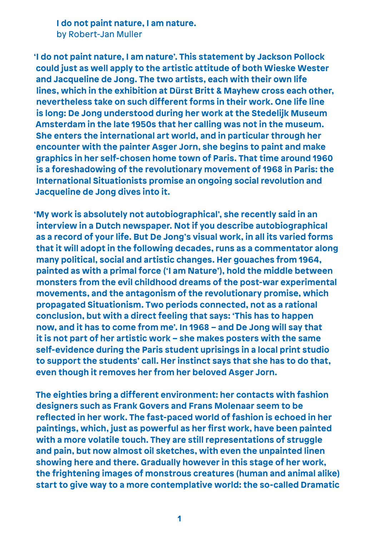**I do not paint nature, I am nature.** by Robert-Jan Muller

**'I do not paint nature, I am nature'. This statement by Jackson Pollock could just as well apply to the artistic attitude of both Wieske Wester and Jacqueline de Jong. The two artists, each with their own life lines, which in the exhibition at Dürst Britt & Mayhew cross each other, nevertheless take on such different forms in their work. One life line is long: De Jong understood during her work at the Stedelijk Museum Amsterdam in the late 1950s that her calling was not in the museum. She enters the international art world, and in particular through her encounter with the painter Asger Jorn, she begins to paint and make graphics in her self-chosen home town of Paris. That time around 1960 is a foreshadowing of the revolutionary movement of 1968 in Paris: the International Situationists promise an ongoing social revolution and Jacqueline de Jong dives into it.** 

**'My work is absolutely not autobiographical', she recently said in an interview in a Dutch newspaper. Not if you describe autobiographical as a record of your life. But De Jong's visual work, in all its varied forms that it will adopt in the following decades, runs as a commentator along many political, social and artistic changes. Her gouaches from 1964, painted as with a primal force ('I am Nature'), hold the middle between monsters from the evil childhood dreams of the post-war experimental movements, and the antagonism of the revolutionary promise, which propagated Situationism. Two periods connected, not as a rational conclusion, but with a direct feeling that says: 'This has to happen now, and it has to come from me'. In 1968 – and De Jong will say that it is not part of her artistic work – she makes posters with the same self-evidence during the Paris student uprisings in a local print studio to support the students' call. Her instinct says that she has to do that, even though it removes her from her beloved Asger Jorn.**

**The eighties bring a different environment: her contacts with fashion designers such as Frank Govers and Frans Molenaar seem to be reflected in her work. The fast-paced world of fashion is echoed in her paintings, which, just as powerful as her first work, have been painted with a more volatile touch. They are still representations of struggle and pain, but now almost oil sketches, with even the unpainted linen showing here and there. Gradually however in this stage of her work, the frightening images of monstrous creatures (human and animal alike) start to give way to a more contemplative world: the so-called Dramatic**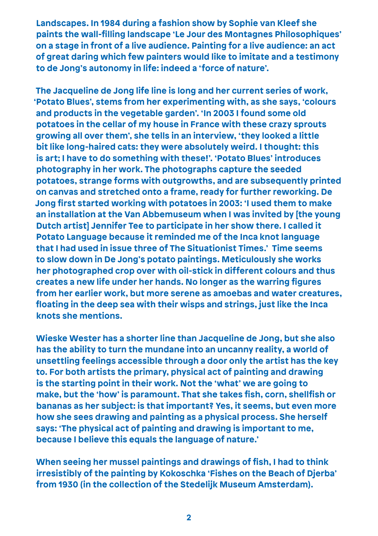**Landscapes. In 1984 during a fashion show by Sophie van Kleef she paints the wall-filling landscape 'Le Jour des Montagnes Philosophiques' on a stage in front of a live audience. Painting for a live audience: an act of great daring which few painters would like to imitate and a testimony to de Jong's autonomy in life: indeed a 'force of nature'.** 

**The Jacqueline de Jong life line is long and her current series of work, 'Potato Blues', stems from her experimenting with, as she says, 'colours and products in the vegetable garden'. 'In 2003 I found some old potatoes in the cellar of my house in France with these crazy sprouts growing all over them', she tells in an interview, 'they looked a little bit like long-haired cats: they were absolutely weird. I thought: this is art; I have to do something with these!'. 'Potato Blues' introduces photography in her work. The photographs capture the seeded potatoes, strange forms with outgrowths, and are subsequently printed on canvas and stretched onto a frame, ready for further reworking. De Jong first started working with potatoes in 2003: 'I used them to make an installation at the Van Abbemuseum when I was invited by [the young Dutch artist] Jennifer Tee to participate in her show there. I called it Potato Language because it reminded me of the Inca knot language that I had used in issue three of The Situationist Times.' Time seems to slow down in De Jong's potato paintings. Meticulously she works her photographed crop over with oil-stick in different colours and thus creates a new life under her hands. No longer as the warring figures from her earlier work, but more serene as amoebas and water creatures, floating in the deep sea with their wisps and strings, just like the Inca knots she mentions.** 

**Wieske Wester has a shorter line than Jacqueline de Jong, but she also has the ability to turn the mundane into an uncanny reality, a world of unsettling feelings accessible through a door only the artist has the key to. For both artists the primary, physical act of painting and drawing is the starting point in their work. Not the 'what' we are going to make, but the 'how' is paramount. That she takes fish, corn, shellfish or bananas as her subject: is that important? Yes, it seems, but even more how she sees drawing and painting as a physical process. She herself says: 'The physical act of painting and drawing is important to me, because I believe this equals the language of nature.'** 

**When seeing her mussel paintings and drawings of fish, I had to think irresistibly of the painting by Kokoschka 'Fishes on the Beach of Djerba' from 1930 (in the collection of the Stedelijk Museum Amsterdam).**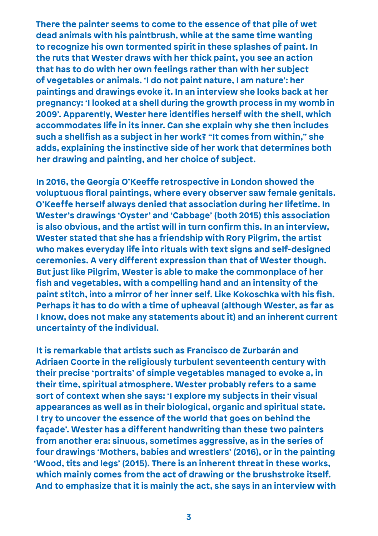**There the painter seems to come to the essence of that pile of wet dead animals with his paintbrush, while at the same time wanting to recognize his own tormented spirit in these splashes of paint. In the ruts that Wester draws with her thick paint, you see an action that has to do with her own feelings rather than with her subject of vegetables or animals. 'I do not paint nature, I am nature': her paintings and drawings evoke it. In an interview she looks back at her pregnancy: 'I looked at a shell during the growth process in my womb in 2009'. Apparently, Wester here identifies herself with the shell, which accommodates life in its inner. Can she explain why she then includes such a shellfish as a subject in her work? "It comes from within," she adds, explaining the instinctive side of her work that determines both her drawing and painting, and her choice of subject.**

**In 2016, the Georgia O'Keeffe retrospective in London showed the voluptuous floral paintings, where every observer saw female genitals. O'Keeffe herself always denied that association during her lifetime. In Wester's drawings 'Oyster' and 'Cabbage' (both 2015) this association is also obvious, and the artist will in turn confirm this. In an interview, Wester stated that she has a friendship with Rory Pilgrim, the artist who makes everyday life into rituals with text signs and self-designed ceremonies. A very different expression than that of Wester though. But just like Pilgrim, Wester is able to make the commonplace of her fish and vegetables, with a compelling hand and an intensity of the paint stitch, into a mirror of her inner self. Like Kokoschka with his fish. Perhaps it has to do with a time of upheaval (although Wester, as far as I know, does not make any statements about it) and an inherent current uncertainty of the individual.** 

**It is remarkable that artists such as Francisco de Zurbarán and Adriaen Coorte in the religiously turbulent seventeenth century with their precise 'portraits' of simple vegetables managed to evoke a, in their time, spiritual atmosphere. Wester probably refers to a same sort of context when she says: 'I explore my subjects in their visual appearances as well as in their biological, organic and spiritual state. I try to uncover the essence of the world that goes on behind the façade'. Wester has a different handwriting than these two painters from another era: sinuous, sometimes aggressive, as in the series of four drawings 'Mothers, babies and wrestlers' (2016), or in the painting 'Wood, tits and legs' (2015). There is an inherent threat in these works, which mainly comes from the act of drawing or the brushstroke itself. And to emphasize that it is mainly the act, she says in an interview with**